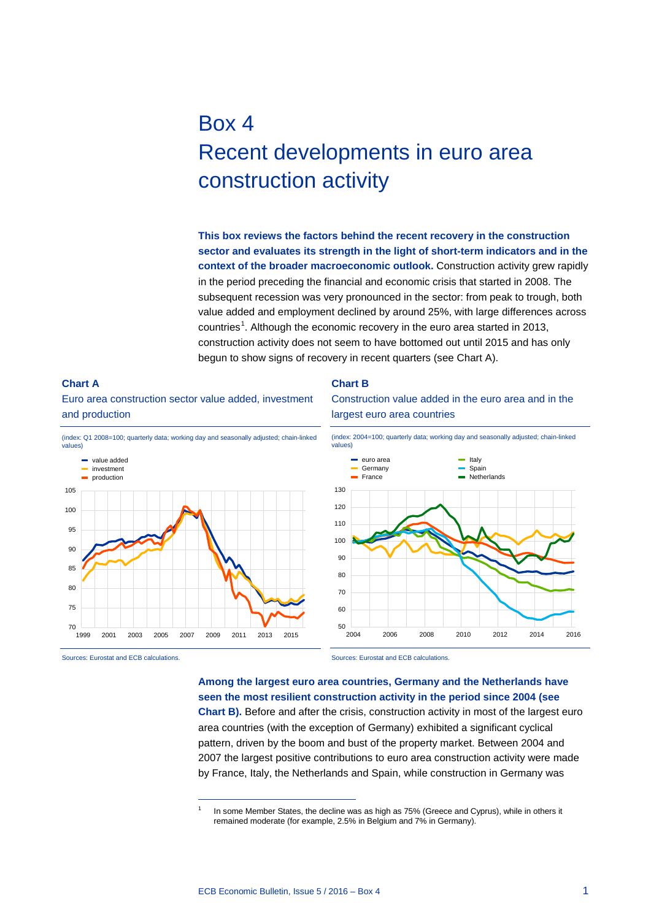# Box 4 Recent developments in euro area construction activity

**This box reviews the factors behind the recent recovery in the construction sector and evaluates its strength in the light of short-term indicators and in the context of the broader macroeconomic outlook.** Construction activity grew rapidly in the period preceding the financial and economic crisis that started in 2008. The subsequent recession was very pronounced in the sector: from peak to trough, both value added and employment declined by around 25%, with large differences across countries<sup>[1](#page-0-0)</sup>. Although the economic recovery in the euro area started in 2013, construction activity does not seem to have bottomed out until 2015 and has only begun to show signs of recovery in recent quarters (see Chart A).

### **Chart A** Euro area construction sector value added, investment and production



-

<span id="page-0-0"></span>Sources: Eurostat and ECB calculations.

#### **Chart B**

Construction value added in the euro area and in the largest euro area countries



Sources: Eurostat and ECB calculations.

**Among the largest euro area countries, Germany and the Netherlands have seen the most resilient construction activity in the period since 2004 (see Chart B).** Before and after the crisis, construction activity in most of the largest euro area countries (with the exception of Germany) exhibited a significant cyclical pattern, driven by the boom and bust of the property market. Between 2004 and 2007 the largest positive contributions to euro area construction activity were made by France, Italy, the Netherlands and Spain, while construction in Germany was

In some Member States, the decline was as high as 75% (Greece and Cyprus), while in others it remained moderate (for example, 2.5% in Belgium and 7% in Germany).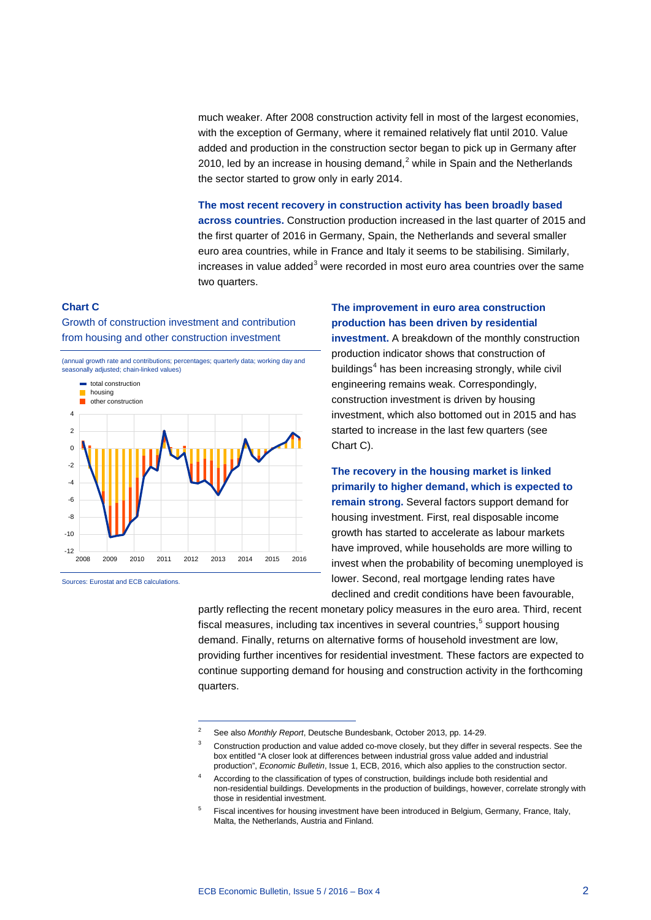much weaker. After 2008 construction activity fell in most of the largest economies, with the exception of Germany, where it remained relatively flat until 2010. Value added and production in the construction sector began to pick up in Germany after [2](#page-1-0)010, led by an increase in housing demand, $^2$  while in Spain and the Netherlands the sector started to grow only in early 2014.

**The most recent recovery in construction activity has been broadly based across countries.** Construction production increased in the last quarter of 2015 and the first quarter of 2016 in Germany, Spain, the Netherlands and several smaller euro area countries, while in France and Italy it seems to be stabilising. Similarly,  $increases$  in value added $3$  were recorded in most euro area countries over the same two quarters.

#### **Chart C**

Growth of construction investment and contribution from housing and other construction investment

(annual growth rate and contributions; percentages; quarterly data; working day and seasonally adjusted; chain-linked values)



-

<span id="page-1-1"></span><span id="page-1-0"></span>Sources: Eurostat and ECB calculations.

## **The improvement in euro area construction production has been driven by residential**

**investment.** A breakdown of the monthly construction production indicator shows that construction of buildings $4$  has been increasing strongly, while civil engineering remains weak. Correspondingly, construction investment is driven by housing investment, which also bottomed out in 2015 and has started to increase in the last few quarters (see Chart C).

**The recovery in the housing market is linked primarily to higher demand, which is expected to remain strong.** Several factors support demand for housing investment. First, real disposable income growth has started to accelerate as labour markets have improved, while households are more willing to invest when the probability of becoming unemployed is lower. Second, real mortgage lending rates have declined and credit conditions have been favourable,

partly reflecting the recent monetary policy measures in the euro area. Third, recent fiscal measures, including tax incentives in several countries, [5](#page-1-3) support housing demand. Finally, returns on alternative forms of household investment are low, providing further incentives for residential investment. These factors are expected to continue supporting demand for housing and construction activity in the forthcoming quarters.

<sup>2</sup> See also *Monthly Report*, Deutsche Bundesbank, October 2013, pp. 14-29.

Construction production and value added co-move closely, but they differ in several respects. See the box entitled "A closer look at differences between industrial gross value added and industrial production", *Economic Bulletin*, Issue 1, ECB, 2016, which also applies to the construction sector.

<span id="page-1-2"></span><sup>4</sup> According to the classification of types of construction, buildings include both residential and non-residential buildings. Developments in the production of buildings, however, correlate strongly with those in residential investment.

<span id="page-1-3"></span><sup>5</sup> Fiscal incentives for housing investment have been introduced in Belgium, Germany, France, Italy, Malta, the Netherlands, Austria and Finland.